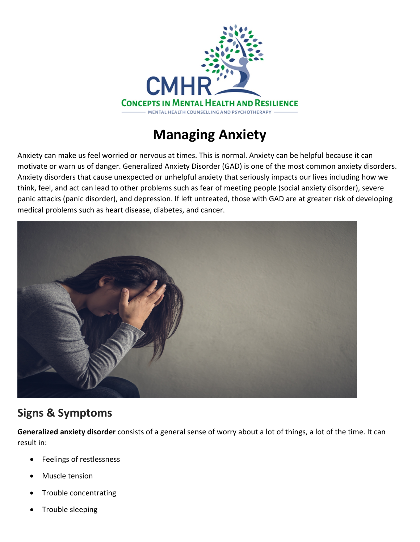

## **Managing Anxiety**

Anxiety can make us feel worried or nervous at times. This is normal. Anxiety can be helpful because it can motivate or warn us of danger. Generalized Anxiety Disorder (GAD) is one of the most common anxiety disorders. Anxiety disorders that cause unexpected or unhelpful anxiety that seriously impacts our lives including how we think, feel, and act can lead to other problems such as fear of meeting people (social anxiety disorder), severe panic attacks (panic disorder), and depression. If left untreated, those with GAD are at greater risk of developing medical problems such as heart disease, diabetes, and cancer.



## **Signs & Symptoms**

**Generalized anxiety disorder** consists of a general sense of worry about a lot of things, a lot of the time. It can result in:

- Feelings of restlessness
- Muscle tension
- Trouble concentrating
- Trouble sleeping